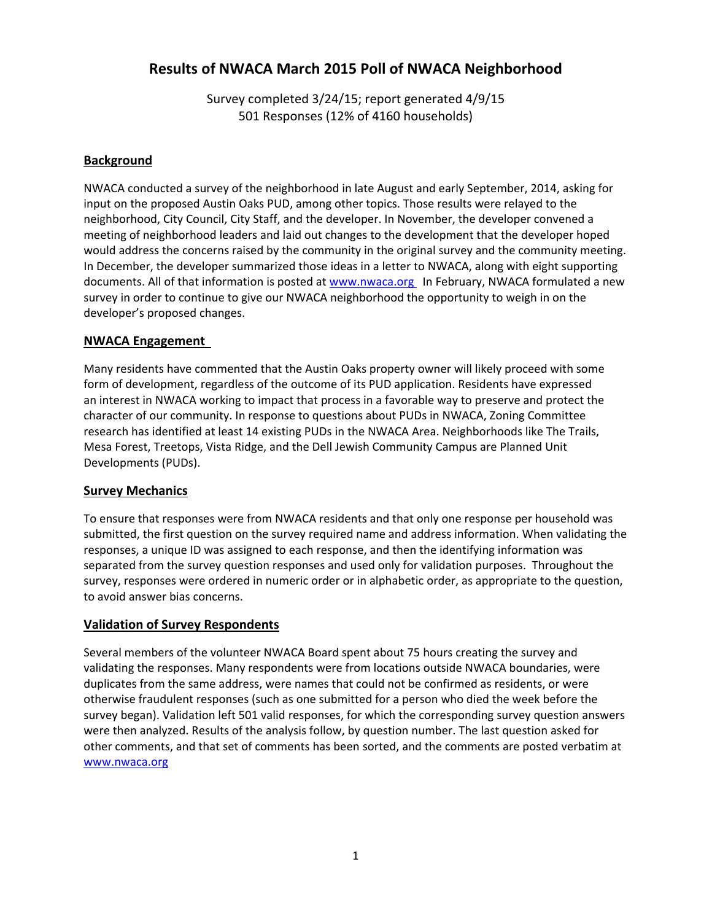# **Results of NWACA March 2015 Poll of NWACA Neighborhood**

Survey completed 3/24/15; report generated 4/9/15 501 Responses (12% of 4160 households)

### **Background**

NWACA conducted a survey of the neighborhood in late August and early September, 2014, asking for input on the proposed Austin Oaks PUD, among other topics. Those results were relayed to the neighborhood, City Council, City Staff, and the developer. In November, the developer convened a meeting of neighborhood leaders and laid out changes to the development that the developer hoped would address the concerns raised by the community in the original survey and the community meeting. In December, the developer summarized those ideas in a letter to NWACA, along with eight supporting documents. All of that information is posted at www.nwaca.org In February, NWACA formulated a new survey in order to continue to give our NWACA neighborhood the opportunity to weigh in on the developer's proposed changes.

### **NWACA Engagement**

Many residents have commented that the Austin Oaks property owner will likely proceed with some form of development, regardless of the outcome of its PUD application. Residents have expressed an interest in NWACA working to impact that process in a favorable way to preserve and protect the character of our community. In response to questions about PUDs in NWACA, Zoning Committee research has identified at least 14 existing PUDs in the NWACA Area. Neighborhoods like The Trails, Mesa Forest, Treetops, Vista Ridge, and the Dell Jewish Community Campus are Planned Unit Developments (PUDs).

#### **Survey Mechanics**

To ensure that responses were from NWACA residents and that only one response per household was submitted, the first question on the survey required name and address information. When validating the responses, a unique ID was assigned to each response, and then the identifying information was separated from the survey question responses and used only for validation purposes. Throughout the survey, responses were ordered in numeric order or in alphabetic order, as appropriate to the question, to avoid answer bias concerns.

### **Validation of Survey Respondents**

Several members of the volunteer NWACA Board spent about 75 hours creating the survey and validating the responses. Many respondents were from locations outside NWACA boundaries, were duplicates from the same address, were names that could not be confirmed as residents, or were otherwise fraudulent responses (such as one submitted for a person who died the week before the survey began). Validation left 501 valid responses, for which the corresponding survey question answers were then analyzed. Results of the analysis follow, by question number. The last question asked for other comments, and that set of comments has been sorted, and the comments are posted verbatim at www.nwaca.org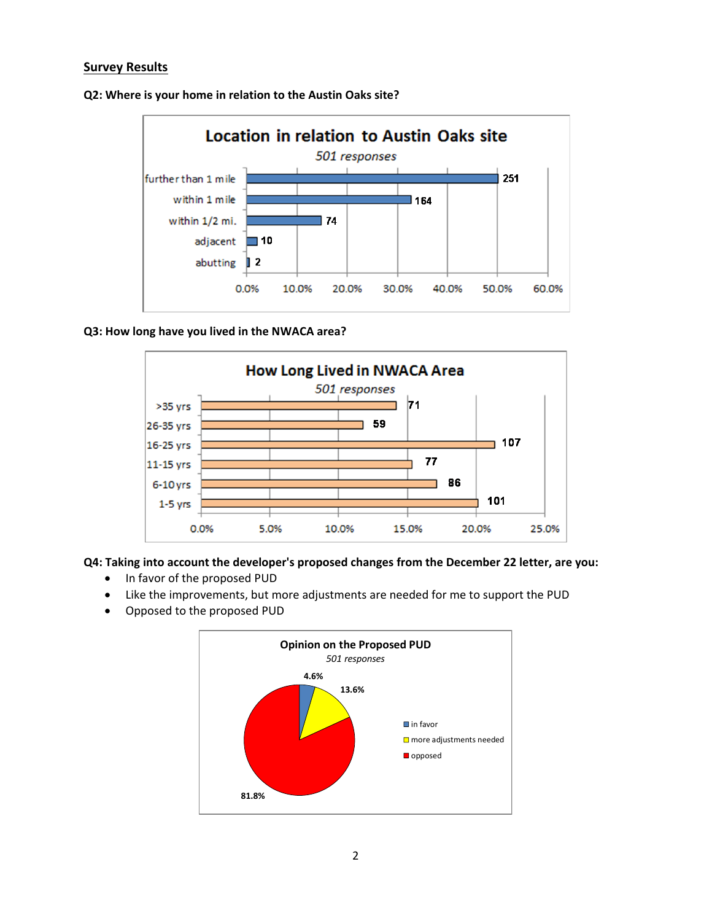### **Survey Results**



**Q2: Where is your home in relation to the Austin Oaks site?**

#### **Q3: How long have you lived in the NWACA area?**



**Q4: Taking into account the developer's proposed changes from the December 22 letter, are you:**

- In favor of the proposed PUD
- Like the improvements, but more adjustments are needed for me to support the PUD
- Opposed to the proposed PUD

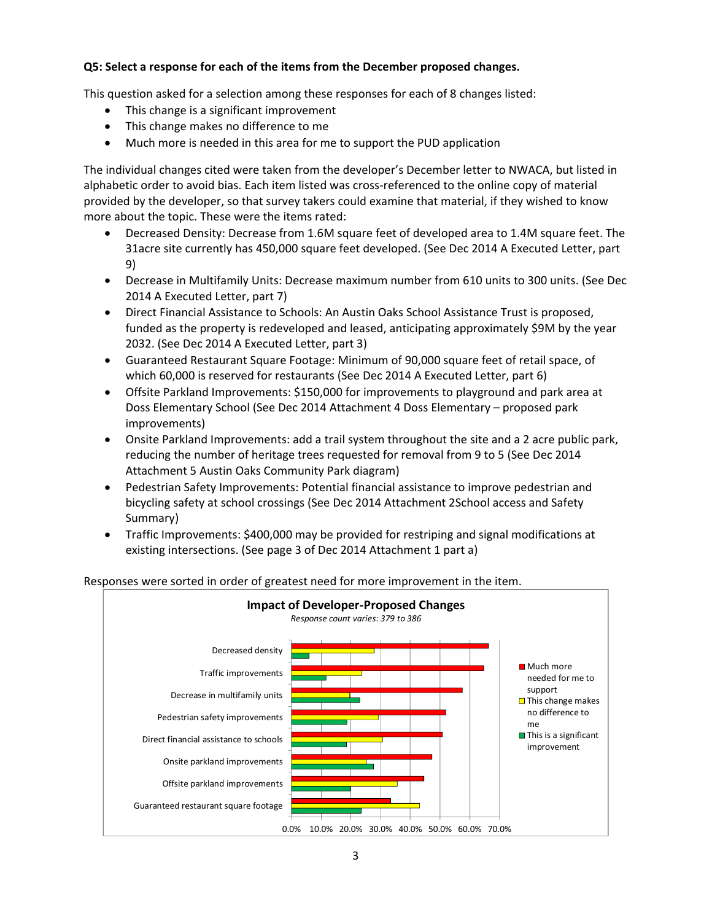### **Q5: Select a response for each of the items from the December proposed changes.**

This question asked for a selection among these responses for each of 8 changes listed:

- This change is a significant improvement
- This change makes no difference to me
- Much more is needed in this area for me to support the PUD application

The individual changes cited were taken from the developer's December letter to NWACA, but listed in alphabetic order to avoid bias. Each item listed was cross‐referenced to the online copy of material provided by the developer, so that survey takers could examine that material, if they wished to know more about the topic. These were the items rated:

- Decreased Density: Decrease from 1.6M square feet of developed area to 1.4M square feet. The 31acre site currently has 450,000 square feet developed. (See Dec 2014 A Executed Letter, part 9)
- Decrease in Multifamily Units: Decrease maximum number from 610 units to 300 units. (See Dec 2014 A Executed Letter, part 7)
- Direct Financial Assistance to Schools: An Austin Oaks School Assistance Trust is proposed, funded as the property is redeveloped and leased, anticipating approximately \$9M by the year 2032. (See Dec 2014 A Executed Letter, part 3)
- Guaranteed Restaurant Square Footage: Minimum of 90,000 square feet of retail space, of which 60,000 is reserved for restaurants (See Dec 2014 A Executed Letter, part 6)
- Offsite Parkland Improvements: \$150,000 for improvements to playground and park area at Doss Elementary School (See Dec 2014 Attachment 4 Doss Elementary – proposed park improvements)
- Onsite Parkland Improvements: add a trail system throughout the site and a 2 acre public park, reducing the number of heritage trees requested for removal from 9 to 5 (See Dec 2014 Attachment 5 Austin Oaks Community Park diagram)
- Pedestrian Safety Improvements: Potential financial assistance to improve pedestrian and bicycling safety at school crossings (See Dec 2014 Attachment 2School access and Safety Summary)
- Traffic Improvements: \$400,000 may be provided for restriping and signal modifications at existing intersections. (See page 3 of Dec 2014 Attachment 1 part a)



#### Responses were sorted in order of greatest need for more improvement in the item.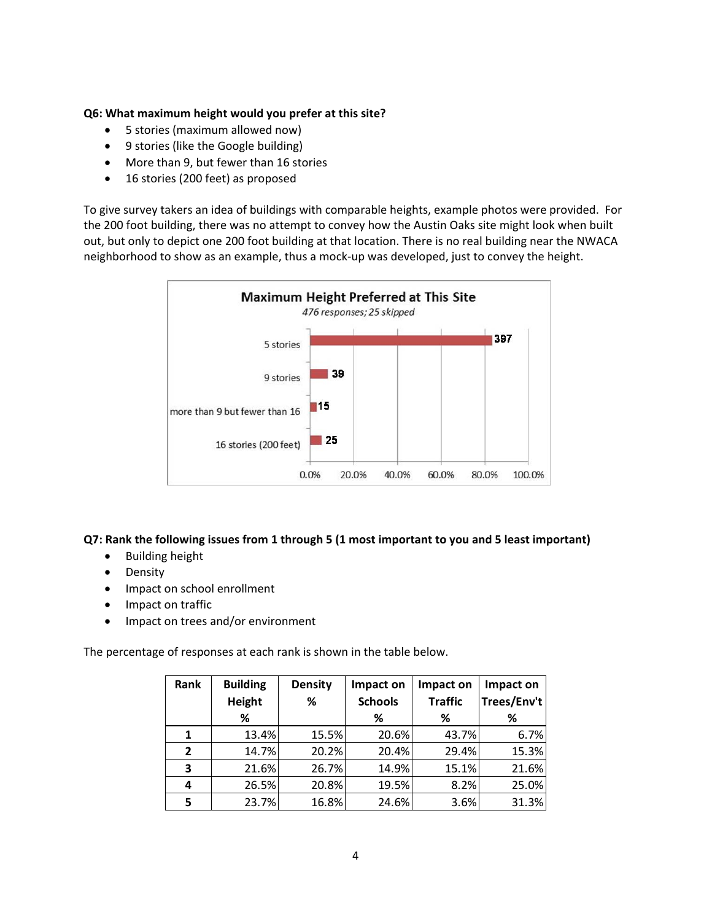#### **Q6: What maximum height would you prefer at this site?**

- 5 stories (maximum allowed now)
- 9 stories (like the Google building)
- More than 9, but fewer than 16 stories
- 16 stories (200 feet) as proposed

To give survey takers an idea of buildings with comparable heights, example photos were provided. For the 200 foot building, there was no attempt to convey how the Austin Oaks site might look when built out, but only to depict one 200 foot building at that location. There is no real building near the NWACA neighborhood to show as an example, thus a mock‐up was developed, just to convey the height.



### **Q7: Rank the following issues from 1 through 5 (1 most important to you and 5 least important)**

- **•** Building height
- Density
- Impact on school enrollment
- Impact on traffic
- Impact on trees and/or environment

The percentage of responses at each rank is shown in the table below.

| Rank           | <b>Building</b><br>Height | <b>Density</b><br>℅ | Impact on<br><b>Schools</b> | Impact on<br><b>Traffic</b> | Impact on<br>Trees/Env't |
|----------------|---------------------------|---------------------|-----------------------------|-----------------------------|--------------------------|
|                | %                         |                     | %                           | ℅                           | ℅                        |
| $\mathbf{1}$   | 13.4%                     | 15.5%               | 20.6%                       | 43.7%                       | 6.7%                     |
| $\overline{2}$ | 14.7%                     | 20.2%               | 20.4%                       | 29.4%                       | 15.3%                    |
| 3              | 21.6%                     | 26.7%               | 14.9%                       | 15.1%                       | 21.6%                    |
| 4              | 26.5%                     | 20.8%               | 19.5%                       | 8.2%                        | 25.0%                    |
| 5              | 23.7%                     | 16.8%               | 24.6%                       | 3.6%                        | 31.3%                    |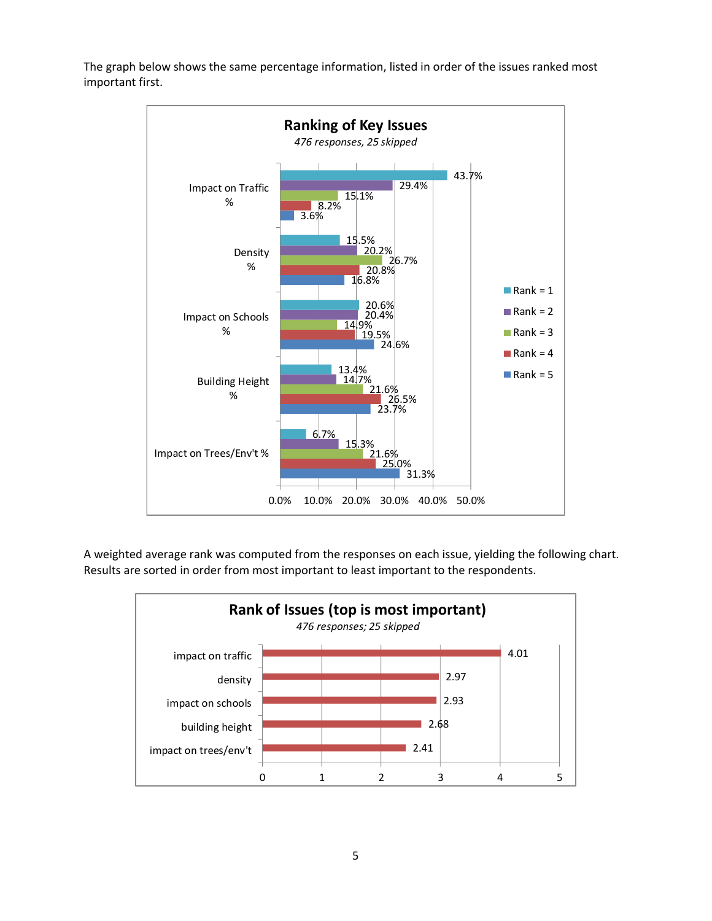The graph below shows the same percentage information, listed in order of the issues ranked most important first.



A weighted average rank was computed from the responses on each issue, yielding the following chart. Results are sorted in order from most important to least important to the respondents.



5